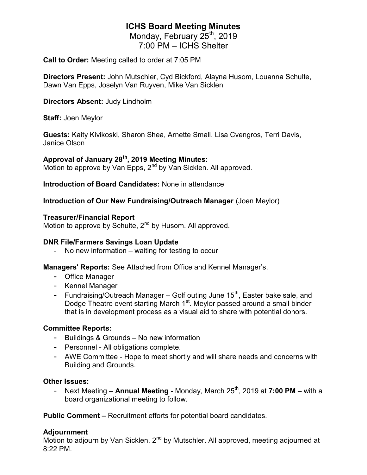# ICHS Board Meeting Minutes

Monday, February 25<sup>th</sup>, 2019 7:00 PM – ICHS Shelter

Call to Order: Meeting called to order at 7:05 PM

Directors Present: John Mutschler, Cyd Bickford, Alayna Husom, Louanna Schulte, Dawn Van Epps, Joselyn Van Ruyven, Mike Van Sicklen

## Directors Absent: Judy Lindholm

Staff: Joen Meylor

Guests: Kaity Kivikoski, Sharon Shea, Arnette Small, Lisa Cvengros, Terri Davis, Janice Olson

## Approval of January 28<sup>th</sup>, 2019 Meeting Minutes:

Motion to approve by Van Epps, 2<sup>nd</sup> by Van Sicklen. All approved.

Introduction of Board Candidates: None in attendance

## Introduction of Our New Fundraising/Outreach Manager (Joen Meylor)

## Treasurer/Financial Report

Motion to approve by Schulte, 2<sup>nd</sup> by Husom. All approved.

## DNR File/Farmers Savings Loan Update

- No new information – waiting for testing to occur

Managers' Reports: See Attached from Office and Kennel Manager's.

- Office Manager
- Kennel Manager
- Fundraising/Outreach Manager Golf outing June  $15<sup>th</sup>$ , Easter bake sale, and Dodge Theatre event starting March 1<sup>st</sup>. Meylor passed around a small binder that is in development process as a visual aid to share with potential donors.

## Committee Reports:

- Buildings & Grounds No new information
- Personnel All obligations complete.
- AWE Committee Hope to meet shortly and will share needs and concerns with Building and Grounds.

## Other Issues:

- Next Meeting – **Annual Meeting** - Monday, March  $25<sup>th</sup>$ , 2019 at **7:00 PM** – with a board organizational meeting to follow.

Public Comment – Recruitment efforts for potential board candidates.

## Adjournment

Motion to adjourn by Van Sicklen,  $2^{nd}$  by Mutschler. All approved, meeting adjourned at 8:22 PM.